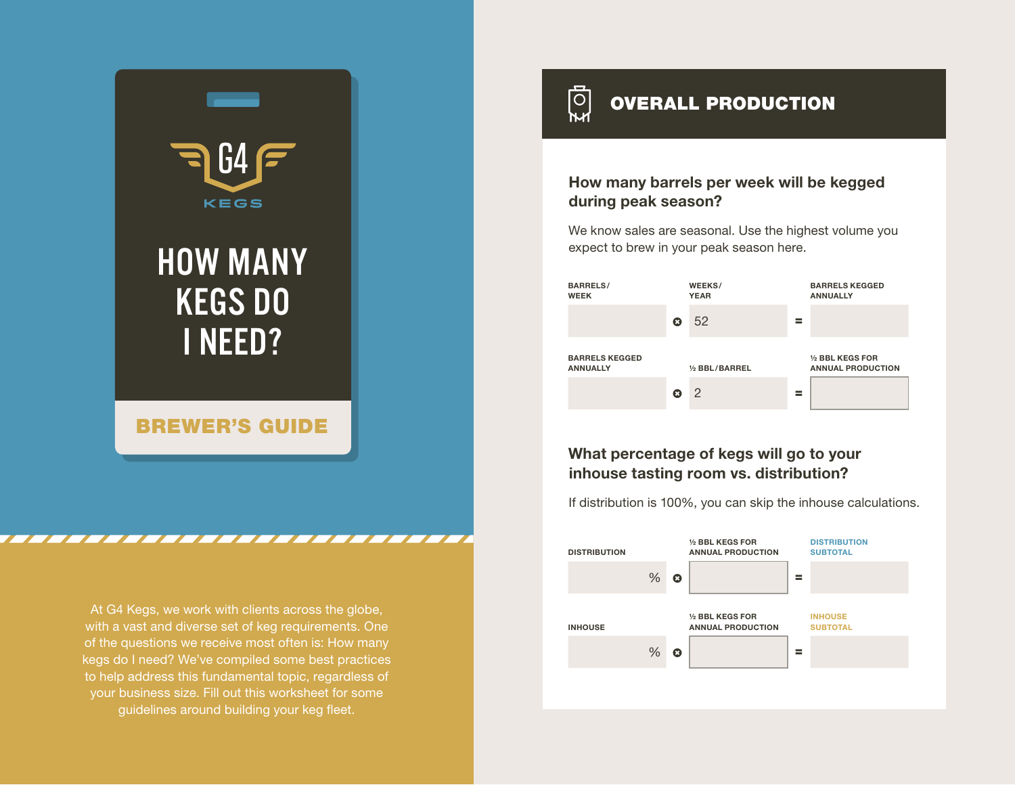

At G4 Kegs, we work with clients across the globe, with a vast and diverse set of keg requirements. One of the questions we receive most often is: How many kegs do I need? We've compiled some best practices to help address this fundamental topic, regardless of your business size. Fill out this worksheet for some guidelines around building your keg fleet.

<u>iol</u> OVERALL PRODUCTION

## How many barrels per week will be kegged during peak season?

We know sales are seasonal. Use the highest volume you expect to brew in your peak season here.



## What percentage of kegs will go to your inhouse tasting room vs. distribution?

If distribution is 100%, you can skip the inhouse calculations.

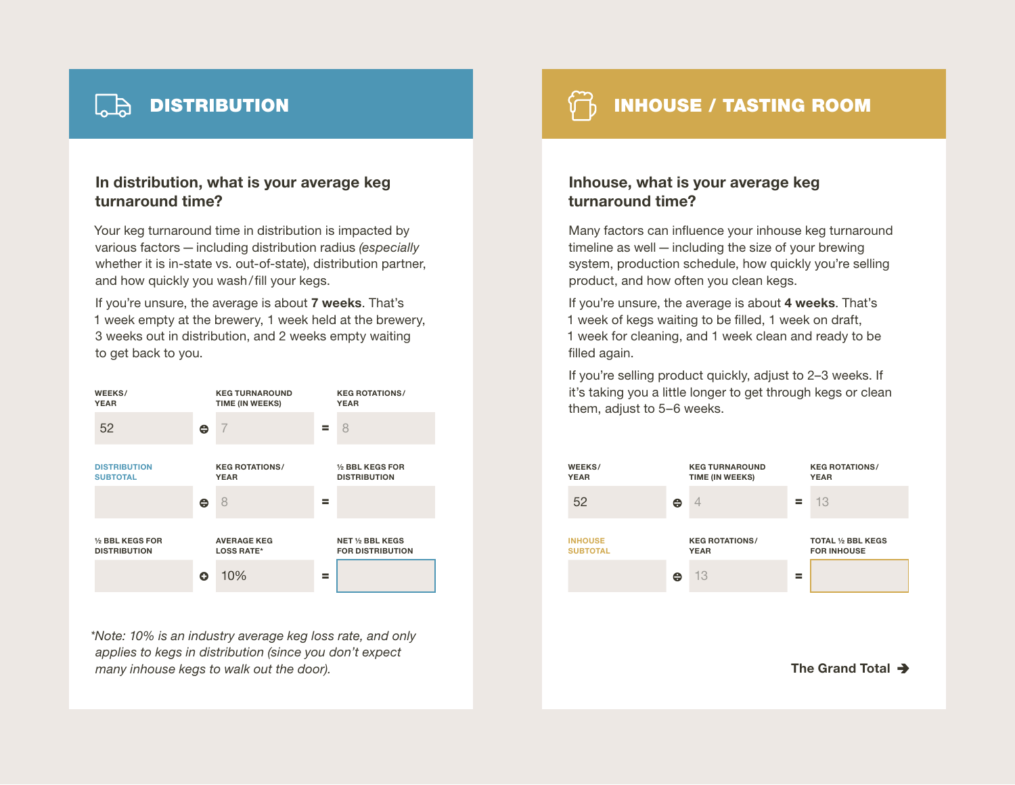

## In distribution, what is your average keg turnaround time?

Your keg turnaround time in distribution is impacted by various factors—including distribution radius *(especially* whether it is in-state vs. out-of-state), distribution partner, and how quickly you wash/fill your kegs.

If you're unsure, the average is about 7 weeks. That's 1 week empty at the brewery, 1 week held at the brewery, 3 weeks out in distribution, and 2 weeks empty waiting to get back to you.



*\*Note: 10% is an industry average keg loss rate, and only applies to kegs in distribution (since you don't expect many inhouse kegs to walk out the door).*

 $\Box$  DISTRIBUTION  $\Box$  DISTRIBUTION

## Inhouse, what is your average keg turnaround time?

Many factors can influence your inhouse keg turnaround timeline as well—including the size of your brewing system, production schedule, how quickly you're selling product, and how often you clean kegs.

If you're unsure, the average is about 4 weeks. That's 1 week of kegs waiting to be filled, 1 week on draft, 1 week for cleaning, and 1 week clean and ready to be filled again.

If you're selling product quickly, adjust to 2–3 weeks. If it's taking you a little longer to get through kegs or clean them, adjust to 5–6 weeks.



The Grand Total  $\rightarrow$